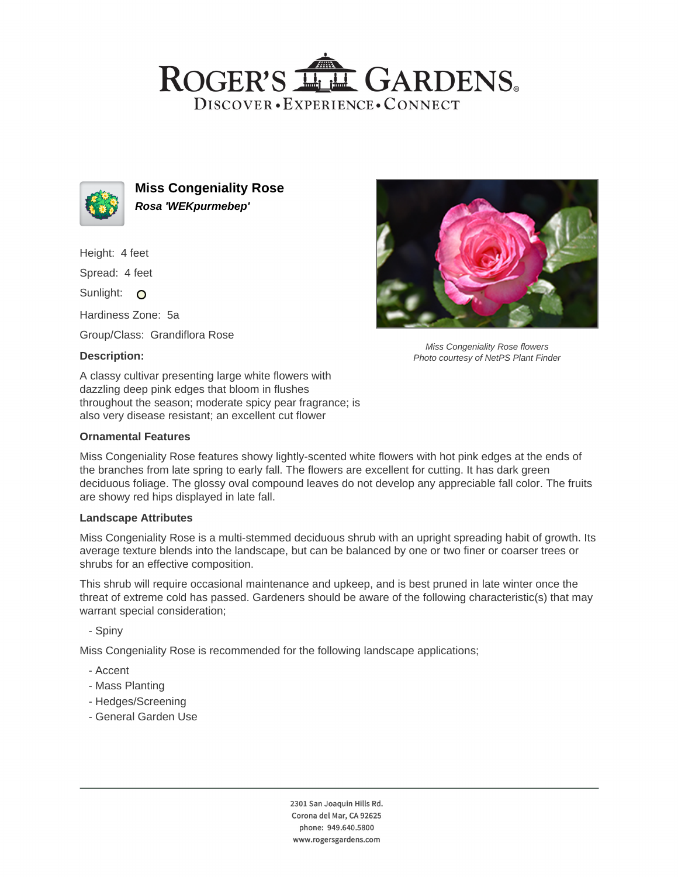# ROGER'S LL GARDENS. DISCOVER · EXPERIENCE · CONNECT



**Miss Congeniality Rose Rosa 'WEKpurmebep'**

Height: 4 feet

Spread: 4 feet

Sunlight: O

Hardiness Zone: 5a

Group/Class: Grandiflora Rose

## **Description:**

A classy cultivar presenting large white flowers with dazzling deep pink edges that bloom in flushes throughout the season; moderate spicy pear fragrance; is also very disease resistant; an excellent cut flower

#### **Ornamental Features**

Miss Congeniality Rose features showy lightly-scented white flowers with hot pink edges at the ends of the branches from late spring to early fall. The flowers are excellent for cutting. It has dark green deciduous foliage. The glossy oval compound leaves do not develop any appreciable fall color. The fruits are showy red hips displayed in late fall.

#### **Landscape Attributes**

Miss Congeniality Rose is a multi-stemmed deciduous shrub with an upright spreading habit of growth. Its average texture blends into the landscape, but can be balanced by one or two finer or coarser trees or shrubs for an effective composition.

This shrub will require occasional maintenance and upkeep, and is best pruned in late winter once the threat of extreme cold has passed. Gardeners should be aware of the following characteristic(s) that may warrant special consideration;

- Spiny

Miss Congeniality Rose is recommended for the following landscape applications;

- Accent
- Mass Planting
- Hedges/Screening
- General Garden Use



Miss Congeniality Rose flowers Photo courtesy of NetPS Plant Finder

2301 San Joaquin Hills Rd. Corona del Mar, CA 92625 phone: 949.640.5800 www.rogersgardens.com